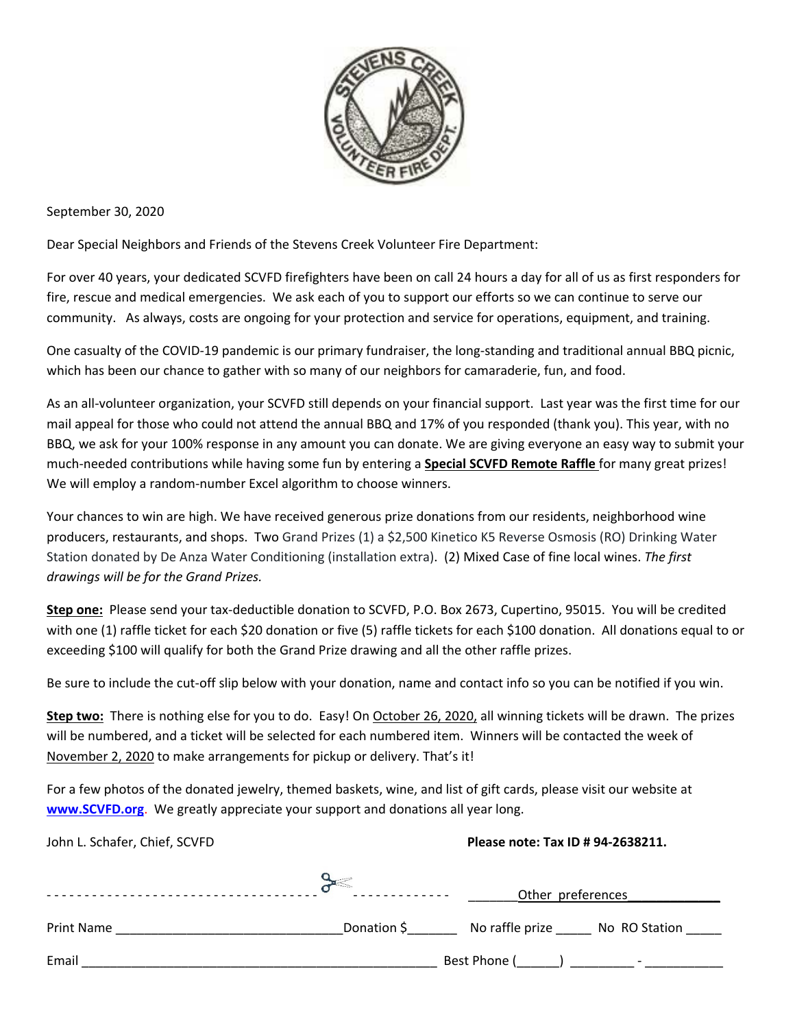

September 30, 2020

Dear Special Neighbors and Friends of the Stevens Creek Volunteer Fire Department:

For over 40 years, your dedicated SCVFD firefighters have been on call 24 hours a day for all of us as first responders for fire, rescue and medical emergencies. We ask each of you to support our efforts so we can continue to serve our community. As always, costs are ongoing for your protection and service for operations, equipment, and training.

One casualty of the COVID-19 pandemic is our primary fundraiser, the long-standing and traditional annual BBQ picnic, which has been our chance to gather with so many of our neighbors for camaraderie, fun, and food.

As an all-volunteer organization, your SCVFD still depends on your financial support. Last year was the first time for our mail appeal for those who could not attend the annual BBQ and 17% of you responded (thank you). This year, with no BBQ, we ask for your 100% response in any amount you can donate. We are giving everyone an easy way to submit your much-needed contributions while having some fun by entering a **Special SCVFD Remote Raffle** for many great prizes! We will employ a random-number Excel algorithm to choose winners.

Your chances to win are high. We have received generous prize donations from our residents, neighborhood wine producers, restaurants, and shops. Two Grand Prizes (1) a \$2,500 Kinetico K5 Reverse Osmosis (RO) Drinking Water Station donated by De Anza Water Conditioning (installation extra). (2) Mixed Case of fine local wines. *The first drawings will be for the Grand Prizes.*

**Step one:** Please send your tax-deductible donation to SCVFD, P.O. Box 2673, Cupertino, 95015. You will be credited with one (1) raffle ticket for each \$20 donation or five (5) raffle tickets for each \$100 donation. All donations equal to or exceeding \$100 will qualify for both the Grand Prize drawing and all the other raffle prizes.

Be sure to include the cut-off slip below with your donation, name and contact info so you can be notified if you win.

**Step two:** There is nothing else for you to do. Easy! On October 26, 2020, all winning tickets will be drawn. The prizes will be numbered, and a ticket will be selected for each numbered item. Winners will be contacted the week of November 2, 2020 to make arrangements for pickup or delivery. That's it!

For a few photos of the donated jewelry, themed baskets, wine, and list of gift cards, please visit our website at **www.SCVFD.org**. We greatly appreciate your support and donations all year long.

| John L. Schafer, Chief, SCVFD                                                                                                      | Please note: Tax ID # 94-2638211. |                   |                                                                      |
|------------------------------------------------------------------------------------------------------------------------------------|-----------------------------------|-------------------|----------------------------------------------------------------------|
|                                                                                                                                    |                                   | Other preferences |                                                                      |
| Print Name<br><u> 1980 - Johann John Harry Harry Harry Harry Harry Harry Harry Harry Harry Harry Harry Harry Harry Harry Harry</u> |                                   |                   | Donation \$ ___________ No raffle prize _______ No RO Station ______ |
| Email                                                                                                                              |                                   |                   |                                                                      |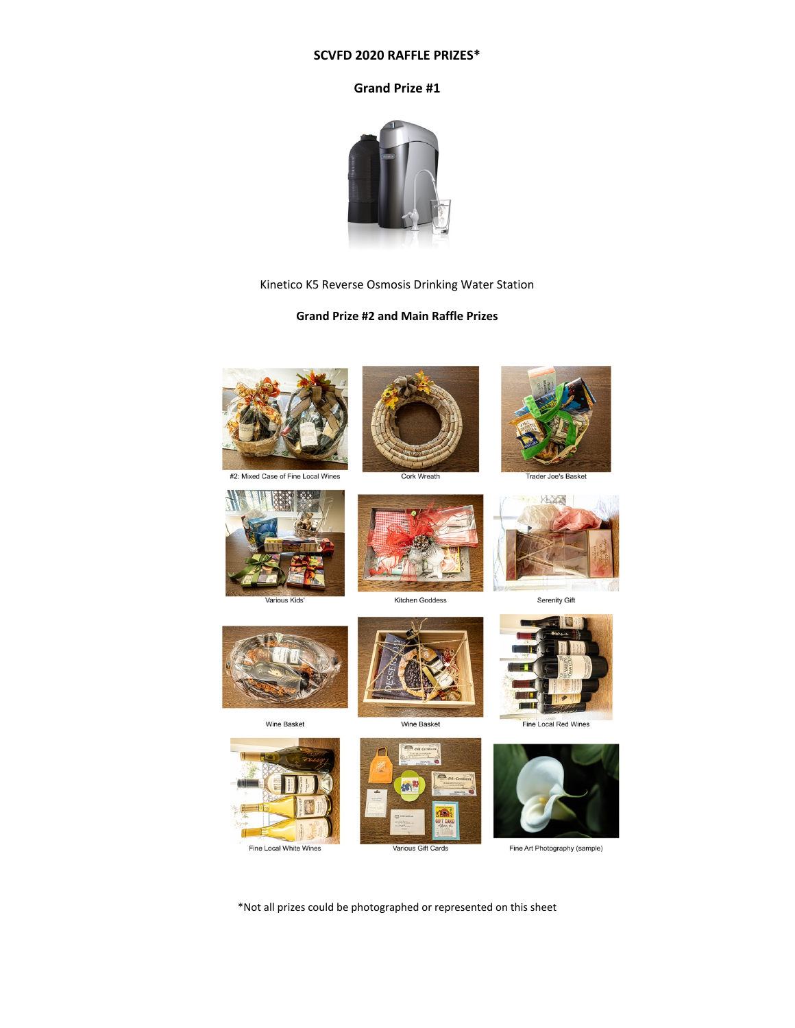#### **SCVFD 2020 RAFFLE PRIZES\***

### **Grand Prize #1**



#### Kinetico K5 Reverse Osmosis Drinking Water Station

## **Grand Prize #2 and Main Raffle Prizes**



\*Not all prizes could be photographed or represented on this sheet